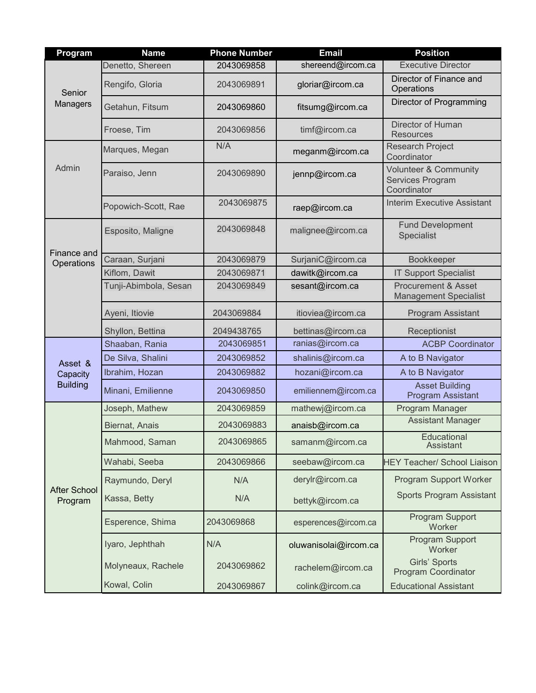| Program                                | <b>Name</b>           | <b>Phone Number</b> | <b>Email</b>          | <b>Position</b>                                                     |
|----------------------------------------|-----------------------|---------------------|-----------------------|---------------------------------------------------------------------|
| Senior<br>Managers                     | Denetto, Shereen      | 2043069858          | shereend@ircom.ca     | <b>Executive Director</b>                                           |
|                                        | Rengifo, Gloria       | 2043069891          | gloriar@ircom.ca      | Director of Finance and<br>Operations                               |
|                                        | Getahun, Fitsum       | 2043069860          | fitsumg@ircom.ca      | Director of Programming                                             |
|                                        | Froese, Tim           | 2043069856          | timf@ircom.ca         | Director of Human<br><b>Resources</b>                               |
| Admin                                  | Marques, Megan        | N/A                 | meganm@ircom.ca       | <b>Research Project</b><br>Coordinator                              |
|                                        | Paraiso, Jenn         | 2043069890          | jennp@ircom.ca        | <b>Volunteer &amp; Community</b><br>Services Program<br>Coordinator |
|                                        | Popowich-Scott, Rae   | 2043069875          | raep@ircom.ca         | <b>Interim Executive Assistant</b>                                  |
| Finance and<br>Operations              | Esposito, Maligne     | 2043069848          | malignee@ircom.ca     | <b>Fund Development</b><br>Specialist                               |
|                                        | Caraan, Surjani       | 2043069879          | SurjaniC@ircom.ca     | Bookkeeper                                                          |
|                                        | Kiflom, Dawit         | 2043069871          | dawitk@ircom.ca       | <b>IT Support Specialist</b>                                        |
|                                        | Tunji-Abimbola, Sesan | 2043069849          | sesant@ircom.ca       | <b>Procurement &amp; Asset</b><br><b>Management Specialist</b>      |
|                                        | Ayeni, Itiovie        | 2043069884          | itioviea@ircom.ca     | Program Assistant                                                   |
|                                        | Shyllon, Bettina      | 2049438765          | bettinas@ircom.ca     | Receptionist                                                        |
| Asset &<br>Capacity<br><b>Building</b> | Shaaban, Rania        | 2043069851          | ranias@ircom.ca       | <b>ACBP Coordinator</b>                                             |
|                                        | De Silva, Shalini     | 2043069852          | shalinis@ircom.ca     | A to B Navigator                                                    |
|                                        | Ibrahim, Hozan        | 2043069882          | hozani@ircom.ca       | A to B Navigator                                                    |
|                                        | Minani, Emilienne     | 2043069850          | emiliennem@ircom.ca   | <b>Asset Building</b><br><b>Program Assistant</b>                   |
| <b>After School</b><br>Program         | Joseph, Mathew        | 2043069859          | mathewj@ircom.ca      | Program Manager                                                     |
|                                        | Biernat, Anais        | 2043069883          | anaisb@ircom.ca       | <b>Assistant Manager</b>                                            |
|                                        | Mahmood, Saman        | 2043069865          | samanm@ircom.ca       | Educational<br>Assistant                                            |
|                                        | Wahabi, Seeba         | 2043069866          | seebaw@ircom.ca       | <b>HEY Teacher/ School Liaison</b>                                  |
|                                        | Raymundo, Deryl       | N/A                 | derylr@ircom.ca       | Program Support Worker                                              |
|                                        | Kassa, Betty          | N/A                 | bettyk@ircom.ca       | <b>Sports Program Assistant</b>                                     |
|                                        | Esperence, Shima      | 2043069868          | esperences@ircom.ca   | Program Support<br>Worker                                           |
|                                        | Iyaro, Jephthah       | N/A                 | oluwanisolai@ircom.ca | Program Support<br>Worker                                           |
|                                        | Molyneaux, Rachele    | 2043069862          | rachelem@ircom.ca     | Girls' Sports<br><b>Program Coordinator</b>                         |
|                                        | Kowal, Colin          | 2043069867          | colink@ircom.ca       | <b>Educational Assistant</b>                                        |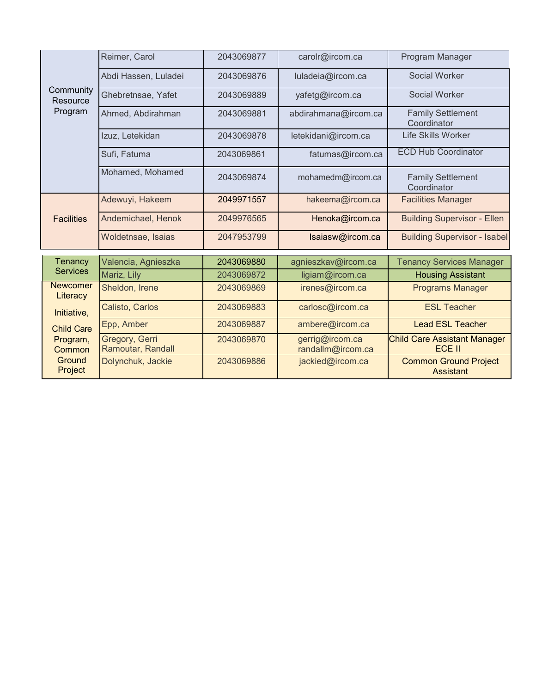| Community<br>Resource<br>Program                                                                           | Reimer, Carol                       | 2043069877 | carolr@ircom.ca                      | Program Manager                                      |
|------------------------------------------------------------------------------------------------------------|-------------------------------------|------------|--------------------------------------|------------------------------------------------------|
|                                                                                                            | Abdi Hassen, Luladei                | 2043069876 | luladeia@ircom.ca                    | Social Worker                                        |
|                                                                                                            | Ghebretnsae, Yafet                  | 2043069889 | yafetg@ircom.ca                      | <b>Social Worker</b>                                 |
|                                                                                                            | Ahmed, Abdirahman                   | 2043069881 | abdirahmana@ircom.ca                 | <b>Family Settlement</b><br>Coordinator              |
|                                                                                                            | Izuz, Letekidan                     | 2043069878 | letekidani@ircom.ca                  | <b>Life Skills Worker</b>                            |
|                                                                                                            | Sufi, Fatuma                        | 2043069861 | fatumas@ircom.ca                     | <b>ECD Hub Coordinator</b>                           |
|                                                                                                            | Mohamed, Mohamed                    | 2043069874 | mohamedm@ircom.ca                    | <b>Family Settlement</b><br>Coordinator              |
| <b>Facilities</b>                                                                                          | Adewuyi, Hakeem                     | 2049971557 | hakeema@ircom.ca                     | <b>Facilities Manager</b>                            |
|                                                                                                            | Andemichael, Henok                  | 2049976565 | Henoka@ircom.ca                      | <b>Building Supervisor - Ellen</b>                   |
|                                                                                                            | Woldetnsae, Isaias                  | 2047953799 | Isaiasw@ircom.ca                     | <b>Building Supervisor - Isabel</b>                  |
| Tenancy                                                                                                    | Valencia, Agnieszka                 | 2043069880 | agnieszkav@ircom.ca                  | <b>Tenancy Services Manager</b>                      |
| <b>Services</b>                                                                                            | Mariz, Lily                         | 2043069872 | ligiam@ircom.ca                      | <b>Housing Assistant</b>                             |
| <b>Newcomer</b><br>Literacy<br>Initiative,<br><b>Child Care</b><br>Program,<br>Common<br>Ground<br>Project | Sheldon, Irene                      | 2043069869 | irenes@ircom.ca                      | <b>Programs Manager</b>                              |
|                                                                                                            | Calisto, Carlos                     | 2043069883 | carlosc@ircom.ca                     | <b>ESL Teacher</b>                                   |
|                                                                                                            | Epp, Amber                          | 2043069887 | ambere@ircom.ca                      | <b>Lead ESL Teacher</b>                              |
|                                                                                                            | Gregory, Gerri<br>Ramoutar, Randall | 2043069870 | gerrig@ircom.ca<br>randallm@ircom.ca | <b>Child Care Assistant Manager</b><br><b>ECE II</b> |
|                                                                                                            | Dolynchuk, Jackie                   | 2043069886 | jackied@ircom.ca                     | <b>Common Ground Project</b><br><b>Assistant</b>     |